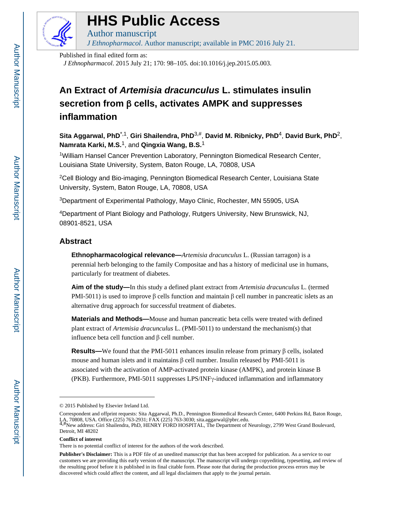

# **HHS Public Access**

*J Ethnopharmacol*. Author manuscript; available in PMC 2016 July 21.

Published in final edited form as:

Author manuscript

*J Ethnopharmacol*. 2015 July 21; 170: 98–105. doi:10.1016/j.jep.2015.05.003.

## **An Extract of Artemisia dracunculus L. stimulates insulin secretion from** β **cells, activates AMPK and suppresses inflammation**

**Sita Aggarwal, PhD**\*,1, **Giri Shailendra, PhD**3,#, **David M. Ribnicky, PhD**4, **David Burk, PhD**2, **Namrata Karki, M.S.**1, and **Qingxia Wang, B.S.**<sup>1</sup>

<sup>1</sup>William Hansel Cancer Prevention Laboratory, Pennington Biomedical Research Center, Louisiana State University, System, Baton Rouge, LA, 70808, USA

<sup>2</sup>Cell Biology and Bio-imaging, Pennington Biomedical Research Center, Louisiana State University, System, Baton Rouge, LA, 70808, USA

<sup>3</sup>Department of Experimental Pathology, Mayo Clinic, Rochester, MN 55905, USA

<sup>4</sup>Department of Plant Biology and Pathology, Rutgers University, New Brunswick, NJ, 08901-8521, USA

## **Abstract**

**Ethnopharmacological relevance—***Artemisia dracunculus* L. (Russian tarragon) is a perennial herb belonging to the family Compositae and has a history of medicinal use in humans, particularly for treatment of diabetes.

**Aim of the study—**In this study a defined plant extract from *Artemisia dracunculus* L. (termed PMI-5011) is used to improve β cells function and maintain β cell number in pancreatic islets as an alternative drug approach for successful treatment of diabetes.

**Materials and Methods—**Mouse and human pancreatic beta cells were treated with defined plant extract of *Artemisia dracunculus* L. (PMI-5011) to understand the mechanism(s) that influence beta cell function and β cell number.

**Results—**We found that the PMI-5011 enhances insulin release from primary β cells, isolated mouse and human islets and it maintains  $β$  cell number. Insulin released by PMI-5011 is associated with the activation of AMP-activated protein kinase (AMPK), and protein kinase B (PKB). Furthermore, PMI-5011 suppresses LPS/INFγ-induced inflammation and inflammatory

<sup>© 2015</sup> Published by Elsevier Ireland Ltd.

Correspondent and offprint requests: Sita Aggarwal, Ph.D., Pennington Biomedical Research Center, 6400 Perkins Rd, Baton Rouge,

LA, 70808, USA. Office (225) 763-2931; FAX (225) 763-3030; sita.aggarwal@pbrc.edu.<br><sup>4,#</sup>New address: Giri Shailendra, PhD, HENRY FORD HOSPITAL, The Department of Neurology, 2799 West Grand Boulevard, Detroit, MI 48202

**Conflict of interest**

There is no potential conflict of interest for the authors of the work described.

**Publisher's Disclaimer:** This is a PDF file of an unedited manuscript that has been accepted for publication. As a service to our customers we are providing this early version of the manuscript. The manuscript will undergo copyediting, typesetting, and review of the resulting proof before it is published in its final citable form. Please note that during the production process errors may be discovered which could affect the content, and all legal disclaimers that apply to the journal pertain.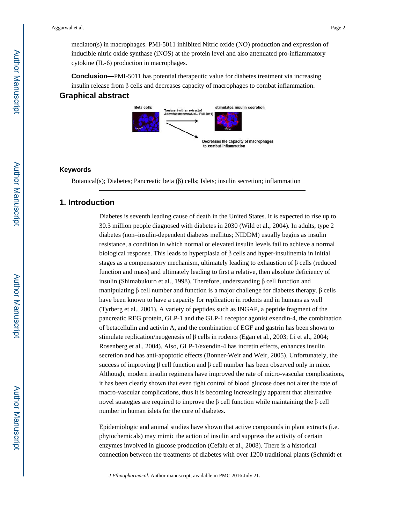mediator(s) in macrophages. PMI-5011 inhibited Nitric oxide (NO) production and expression of inducible nitric oxide synthase (iNOS) at the protein level and also attenuated pro-inflammatory cytokine (IL-6) production in macrophages.

**Conclusion—**PMI-5011 has potential therapeutic value for diabetes treatment via increasing insulin release from β cells and decreases capacity of macrophages to combat inflammation. **Graphical abstract**



#### **Keywords**

Botanical(s); Diabetes; Pancreatic beta (β) cells; Islets; insulin secretion; inflammation

### **1. Introduction**

Diabetes is seventh leading cause of death in the United States. It is expected to rise up to 30.3 million people diagnosed with diabetes in 2030 (Wild et al., 2004). In adults, type 2 diabetes (non–insulin-dependent diabetes mellitus; NIDDM) usually begins as insulin resistance, a condition in which normal or elevated insulin levels fail to achieve a normal biological response. This leads to hyperplasia of  $β$  cells and hyper-insulinemia in initial stages as a compensatory mechanism, ultimately leading to exhaustion of  $\beta$  cells (reduced function and mass) and ultimately leading to first a relative, then absolute deficiency of insulin (Shimabukuro et al., 1998). Therefore, understanding β cell function and manipulating β cell number and function is a major challenge for diabetes therapy. β cells have been known to have a capacity for replication in rodents and in humans as well (Tyrberg et al., 2001). A variety of peptides such as INGAP, a peptide fragment of the pancreatic REG protein, GLP-1 and the GLP-1 receptor agonist exendin-4, the combination of betacellulin and activin A, and the combination of EGF and gastrin has been shown to stimulate replication/neogenesis of β cells in rodents (Egan et al., 2003; Li et al., 2004; Rosenberg et al., 2004). Also, GLP-1/exendin-4 has incretin effects, enhances insulin secretion and has anti-apoptotic effects (Bonner-Weir and Weir, 2005). Unfortunately, the success of improving  $\beta$  cell function and  $\beta$  cell number has been observed only in mice. Although, modern insulin regimens have improved the rate of micro-vascular complications, it has been clearly shown that even tight control of blood glucose does not alter the rate of macro-vascular complications, thus it is becoming increasingly apparent that alternative novel strategies are required to improve the β cell function while maintaining the β cell number in human islets for the cure of diabetes.

Epidemiologic and animal studies have shown that active compounds in plant extracts (i.e. phytochemicals) may mimic the action of insulin and suppress the activity of certain enzymes involved in glucose production (Cefalu et al., 2008). There is a historical connection between the treatments of diabetes with over 1200 traditional plants (Schmidt et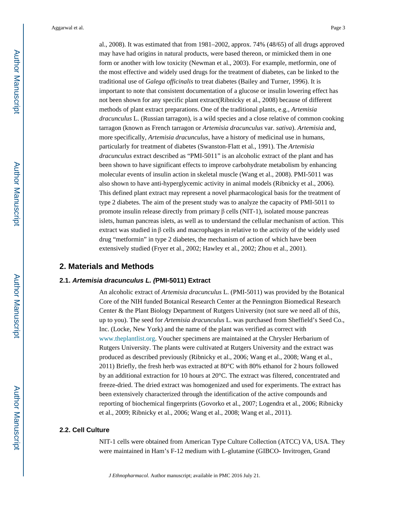al., 2008). It was estimated that from 1981–2002, approx. 74% (48/65) of all drugs approved may have had origins in natural products, were based thereon, or mimicked them in one form or another with low toxicity (Newman et al., 2003). For example, metformin, one of the most effective and widely used drugs for the treatment of diabetes, can be linked to the traditional use of *Galega officinalis* to treat diabetes (Bailey and Turner, 1996). It is important to note that consistent documentation of a glucose or insulin lowering effect has not been shown for any specific plant extract(Ribnicky et al., 2008) because of different methods of plant extract preparations. One of the traditional plants, e.g., *Artemisia dracunculus* L. (Russian tarragon), is a wild species and a close relative of common cooking tarragon (known as French tarragon or *Artemisia dracunculus* var. *sativa*). *Artemisia* and, more specifically, *Artemisia dracunculus*, have a history of medicinal use in humans, particularly for treatment of diabetes (Swanston-Flatt et al., 1991). The *Artemisia dracunculus* extract described as "PMI-5011" is an alcoholic extract of the plant and has been shown to have significant effects to improve carbohydrate metabolism by enhancing molecular events of insulin action in skeletal muscle (Wang et al., 2008). PMI-5011 was also shown to have anti-hyperglycemic activity in animal models (Ribnicky et al., 2006). This defined plant extract may represent a novel pharmacological basis for the treatment of type 2 diabetes. The aim of the present study was to analyze the capacity of PMI-5011 to promote insulin release directly from primary β cells (NIT-1), isolated mouse pancreas islets, human pancreas islets, as well as to understand the cellular mechanism of action. This extract was studied in  $\beta$  cells and macrophages in relative to the activity of the widely used drug "metformin" in type 2 diabetes, the mechanism of action of which have been extensively studied (Fryer et al., 2002; Hawley et al., 2002; Zhou et al., 2001).

#### **2. Materials and Methods**

#### **2.1. Artemisia dracunculus L. (PMI-5011) Extract**

An alcoholic extract of *Artemisia dracunculus* L. (PMI-5011) was provided by the Botanical Core of the NIH funded Botanical Research Center at the Pennington Biomedical Research Center & the Plant Biology Department of Rutgers University (not sure we need all of this, up to you). The seed for *Artemisia dracunculus* L. was purchased from Sheffield's Seed Co., Inc. (Locke, New York) and the name of the plant was verified as correct with www.theplantlist.org. Voucher specimens are maintained at the Chrysler Herbarium of Rutgers University. The plants were cultivated at Rutgers University and the extract was produced as described previously (Ribnicky et al., 2006; Wang et al., 2008; Wang et al., 2011) Briefly, the fresh herb was extracted at 80°C with 80% ethanol for 2 hours followed by an additional extraction for 10 hours at 20°C. The extract was filtered, concentrated and freeze-dried. The dried extract was homogenized and used for experiments. The extract has been extensively characterized through the identification of the active compounds and reporting of biochemical fingerprints (Govorko et al., 2007; Logendra et al., 2006; Ribnicky et al., 2009; Ribnicky et al., 2006; Wang et al., 2008; Wang et al., 2011).

### **2.2. Cell Culture**

NIT-1 cells were obtained from American Type Culture Collection (ATCC) VA, USA. They were maintained in Ham's F-12 medium with L-glutamine (GIBCO- Invitrogen, Grand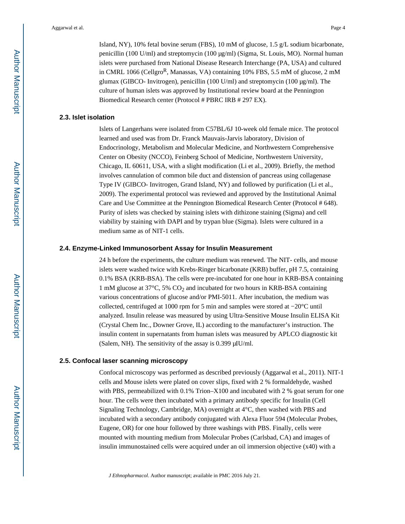Island, NY), 10% fetal bovine serum (FBS), 10 mM of glucose, 1.5 g/L sodium bicarbonate, penicillin (100 U/ml) and streptomycin (100 μg/ml) (Sigma, St. Louis, MO). Normal human islets were purchased from National Disease Research Interchange (PA, USA) and cultured in CMRL 1066 (Cellgro<sup>R</sup>, Manassas, VA) containing 10% FBS, 5.5 mM of glucose, 2 mM glumax (GIBCO- Invitrogen), penicillin (100 U/ml) and streptomycin (100 μg/ml). The culture of human islets was approved by Institutional review board at the Pennington Biomedical Research center (Protocol # PBRC IRB # 297 EX).

#### **2.3. Islet isolation**

Islets of Langerhans were isolated from C57BL/6J 10-week old female mice. The protocol learned and used was from Dr. Franck Mauvais-Jarvis laboratory, Division of Endocrinology, Metabolism and Molecular Medicine, and Northwestern Comprehensive Center on Obesity (NCCO), Feinberg School of Medicine, Northwestern University, Chicago, IL 60611, USA, with a slight modification (Li et al., 2009). Briefly, the method involves cannulation of common bile duct and distension of pancreas using collagenase Type IV (GIBCO- Invitrogen, Grand Island, NY) and followed by purification (Li et al., 2009). The experimental protocol was reviewed and approved by the Institutional Animal Care and Use Committee at the Pennington Biomedical Research Center (Protocol # 648). Purity of islets was checked by staining islets with dithizone staining (Sigma) and cell viability by staining with DAPI and by trypan blue (Sigma). Islets were cultured in a medium same as of NIT-1 cells.

#### **2.4. Enzyme-Linked Immunosorbent Assay for Insulin Measurement**

24 h before the experiments, the culture medium was renewed. The NIT- cells, and mouse islets were washed twice with Krebs-Ringer bicarbonate (KRB) buffer, pH 7.5, containing 0.1% BSA (KRB-BSA). The cells were pre-incubated for one hour in KRB-BSA containing 1 mM glucose at  $37^{\circ}$ C, 5% CO<sub>2</sub> and incubated for two hours in KRB-BSA containing various concentrations of glucose and/or PMI-5011. After incubation, the medium was collected, centrifuged at 1000 rpm for 5 min and samples were stored at −20°C until analyzed. Insulin release was measured by using Ultra-Sensitive Mouse Insulin ELISA Kit (Crystal Chem Inc., Downer Grove, IL) according to the manufacturer's instruction. The insulin content in supernatants from human islets was measured by APLCO diagnostic kit (Salem, NH). The sensitivity of the assay is 0.399 μIU/ml.

#### **2.5. Confocal laser scanning microscopy**

Confocal microscopy was performed as described previously (Aggarwal et al., 2011). NIT-1 cells and Mouse islets were plated on cover slips, fixed with 2 % formaldehyde, washed with PBS, permeabilized with 0.1% Trion–X100 and incubated with 2 % goat serum for one hour. The cells were then incubated with a primary antibody specific for Insulin (Cell Signaling Technology, Cambridge, MA) overnight at 4°C, then washed with PBS and incubated with a secondary antibody conjugated with Alexa Fluor 594 (Molecular Probes, Eugene, OR) for one hour followed by three washings with PBS. Finally, cells were mounted with mounting medium from Molecular Probes (Carlsbad, CA) and images of insulin immunostained cells were acquired under an oil immersion objective (x40) with a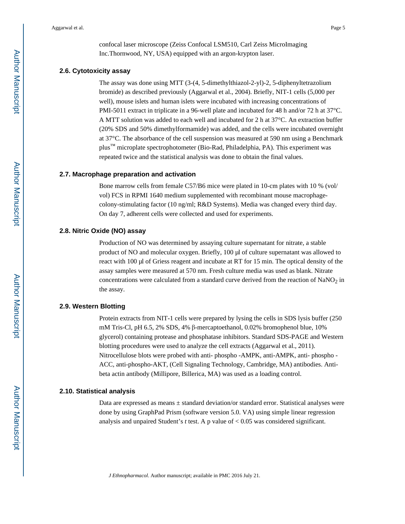confocal laser microscope (Zeiss Confocal LSM510, Carl Zeiss MicroImaging Inc.Thornwood, NY, USA) equipped with an argon-krypton laser.

#### **2.6. Cytotoxicity assay**

The assay was done using MTT (3-(4, 5-dimethylthiazol-2-yl)-2, 5-diphenyltetrazolium bromide) as described previously (Aggarwal et al., 2004). Briefly, NIT-1 cells (5,000 per well), mouse islets and human islets were incubated with increasing concentrations of PMI-5011 extract in triplicate in a 96-well plate and incubated for 48 h and/or 72 h at 37°C. A MTT solution was added to each well and incubated for 2 h at 37°C. An extraction buffer (20% SDS and 50% dimethylformamide) was added, and the cells were incubated overnight at 37°C. The absorbance of the cell suspension was measured at 590 nm using a Benchmark plus<sup>™</sup> microplate spectrophotometer (Bio-Rad, Philadelphia, PA). This experiment was repeated twice and the statistical analysis was done to obtain the final values.

#### **2.7. Macrophage preparation and activation**

Bone marrow cells from female C57/B6 mice were plated in 10-cm plates with 10 % (vol/ vol) FCS in RPMI 1640 medium supplemented with recombinant mouse macrophagecolony-stimulating factor (10 ng/ml; R&D Systems). Media was changed every third day. On day 7, adherent cells were collected and used for experiments.

#### **2.8. Nitric Oxide (NO) assay**

Production of NO was determined by assaying culture supernatant for nitrate, a stable product of NO and molecular oxygen. Briefly, 100 μl of culture supernatant was allowed to react with 100 μl of Griess reagent and incubate at RT for 15 min. The optical density of the assay samples were measured at 570 nm. Fresh culture media was used as blank. Nitrate concentrations were calculated from a standard curve derived from the reaction of  $\text{NaNO}_2$  in the assay.

#### **2.9. Western Blotting**

Protein extracts from NIT-1 cells were prepared by lysing the cells in SDS lysis buffer (250 mM Tris-Cl, pH 6.5, 2% SDS, 4% β-mercaptoethanol, 0.02% bromophenol blue, 10% glycerol) containing protease and phosphatase inhibitors. Standard SDS-PAGE and Western blotting procedures were used to analyze the cell extracts (Aggarwal et al., 2011). Nitrocellulose blots were probed with anti- phospho -AMPK, anti-AMPK, anti- phospho - ACC, anti-phospho-AKT, (Cell Signaling Technology, Cambridge, MA) antibodies. Antibeta actin antibody (Millipore, Billerica, MA) was used as a loading control.

#### **2.10. Statistical analysis**

Data are expressed as means  $\pm$  standard deviation/or standard error. Statistical analyses were done by using GraphPad Prism (software version 5.0. VA) using simple linear regression analysis and unpaired Student's *t* test. A p value of < 0.05 was considered significant.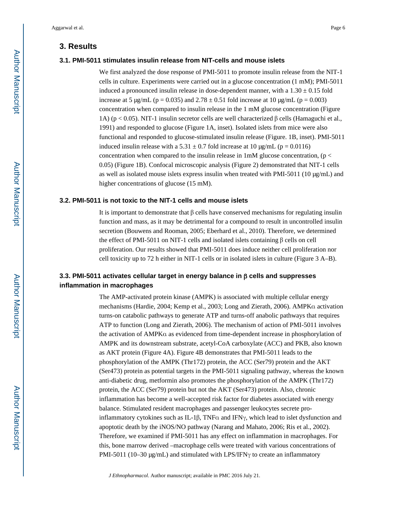## **3. Results**

#### **3.1. PMI-5011 stimulates insulin release from NIT-cells and mouse islets**

We first analyzed the dose response of PMI-5011 to promote insulin release from the NIT-1 cells in culture. Experiments were carried out in a glucose concentration (1 mM); PMI-5011 induced a pronounced insulin release in dose-dependent manner, with a  $1.30 \pm 0.15$  fold increase at 5  $\mu$ g/mL (p = 0.035) and 2.78  $\pm$  0.51 fold increase at 10  $\mu$ g/mL (p = 0.003) concentration when compared to insulin release in the 1 mM glucose concentration (Figure 1A) (p < 0.05). NIT-1 insulin secretor cells are well characterized β cells (Hamaguchi et al., 1991) and responded to glucose (Figure 1A, inset). Isolated islets from mice were also functional and responded to glucose-stimulated insulin release (Figure. 1B, inset). PMI-5011 induced insulin release with a  $5.31 \pm 0.7$  fold increase at 10 μg/mL (p = 0.0116) concentration when compared to the insulin release in 1mM glucose concentration, ( $p <$ 0.05) (Figure 1B). Confocal microscopic analysis (Figure 2) demonstrated that NIT-1 cells as well as isolated mouse islets express insulin when treated with PMI-5011 (10 μg/mL) and higher concentrations of glucose (15 mM).

#### **3.2. PMI-5011 is not toxic to the NIT-1 cells and mouse islets**

It is important to demonstrate that  $\beta$  cells have conserved mechanisms for regulating insulin function and mass, as it may be detrimental for a compound to result in uncontrolled insulin secretion (Bouwens and Rooman, 2005; Eberhard et al., 2010). Therefore, we determined the effect of PMI-5011 on NIT-1 cells and isolated islets containing β cells on cell proliferation. Our results showed that PMI-5011 does induce neither cell proliferation nor cell toxicity up to 72 h either in NIT-1 cells or in isolated islets in culture (Figure 3 A–B).

## **3.3. PMI-5011 activates cellular target in energy balance in** β **cells and suppresses inflammation in macrophages**

The AMP-activated protein kinase (AMPK) is associated with multiple cellular energy mechanisms (Hardie, 2004; Kemp et al., 2003; Long and Zierath, 2006). AMPKα activation turns-on catabolic pathways to generate ATP and turns-off anabolic pathways that requires ATP to function (Long and Zierath, 2006). The mechanism of action of PMI-5011 involves the activation of AMPKα as evidenced from time-dependent increase in phosphorylation of AMPK and its downstream substrate, acetyl-CoA carboxylate (ACC) and PKB, also known as AKT protein (Figure 4A). Figure 4B demonstrates that PMI-5011 leads to the phosphorylation of the AMPK (Thr172) protein, the ACC (Ser79) protein and the AKT (Ser473) protein as potential targets in the PMI-5011 signaling pathway, whereas the known anti-diabetic drug, metformin also promotes the phosphorylation of the AMPK (Thr172) protein, the ACC (Ser79) protein but not the AKT (Ser473) protein. Also, chronic inflammation has become a well-accepted risk factor for diabetes associated with energy balance. Stimulated resident macrophages and passenger leukocytes secrete proinflammatory cytokines such as IL-1β, TNF $\alpha$  and IFN $\gamma$ , which lead to islet dysfunction and apoptotic death by the iNOS/NO pathway (Narang and Mahato, 2006; Ris et al., 2002). Therefore, we examined if PMI-5011 has any effect on inflammation in macrophages. For this, bone marrow derived –macrophage cells were treated with various concentrations of PMI-5011 (10–30 μg/mL) and stimulated with LPS/IFNγ to create an inflammatory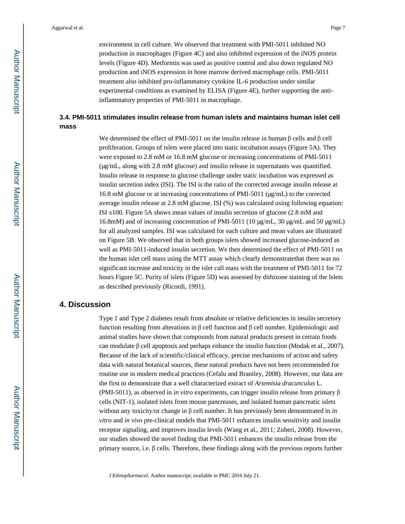environment in cell culture. We observed that treatment with PMI-5011 inhibited NO production in macrophages (Figure 4C) and also inhibited expression of the iNOS protein levels (Figure 4D). Metformin was used as positive control and also down regulated NO production and iNOS expression in bone marrow derived macrophage cells. PMI-5011 treatment also inhibited pro-inflammatory cytokine IL-6 production under similar experimental conditions as examined by ELISA (Figure 4E), further supporting the antiinflammatory properties of PMI-5011 in macrophage.

## **3.4. PMI-5011 stimulates insulin release from human islets and maintains human islet cell mass**

We determined the effect of PMI-5011 on the insulin release in human  $\beta$  cells and  $\beta$  cell proliferation. Groups of islets were placed into static incubation assays (Figure 5A). They were exposed to 2.8 mM or 16.8 mM glucose or increasing concentrations of PMI-5011 (μg/mL, along with 2.8 mM glucose) and insulin release in supernatants was quantified. Insulin release in response to glucose challenge under static incubation was expressed as insulin secretion index (ISI). The ISI is the ratio of the corrected average insulin release at 16.8 mM glucose or at increasing concentrations of PMI-5011 (μg/mL) to the corrected average insulin release at 2.8 mM glucose. ISI (%) was calculated using following equation: ISI x100. Figure 5A shows mean values of insulin secretion of glucose (2.8 mM and 16.8mM) and of increasing concentration of PMI-5011 (10 μg/mL, 30 μg/mL and 50 μg/mL) for all analyzed samples. ISI was calculated for each culture and mean values are illustrated on Figure 5B. We observed that in both groups islets showed increased glucose-induced as well as PMI-5011-induced insulin secretion. We then determined the effect of PMI-5011 on the human islet cell mass using the MTT assay which clearly demonstratethat there was no significant increase and toxicity in the islet call mass with the treatment of PMI-5011 for 72 hours Figure 5C. Purity of islets (Figure 5D) was assessed by dithizone staining of the Islets as described previously (Ricordi, 1991).

## **4. Discussion**

Type 1 and Type 2 diabetes result from absolute or relative deficiencies in insulin secretory function resulting from alterations in β cell function and β cell number. Epidemiologic and animal studies have shown that compounds from natural products present in certain foods can modulate  $\beta$  cell apoptosis and perhaps enhance the insulin function (Modak et al., 2007). Because of the lack of scientific/clinical efficacy, precise mechanisms of action and safety data with natural botanical sources, these natural products have not been recommended for routine use in modern medical practices (Cefalu and Brantley, 2008). However, our data are the first to demonstrate that a well characterized extract of *Artemisia dracunculus* L. (PMI-5011), as observed in *in vitro* experiments, can trigger insulin release from primary β cells (NIT-1), isolated islets from mouse pancreases, and isolated human pancreatic islets without any toxicity/or change in β cell number. It has previously been demonstrated in *in vitro* and *in vivo* pre-clinical models that PMI-5011 enhances insulin sensitivity and insulin receptor signaling, and improves insulin levels (Wang et al., 2011; Zuberi, 2008). However, our studies showed the novel finding that PMI-5011 enhances the insulin release from the primary source, i.e. β cells. Therefore, these findings along with the previous reports further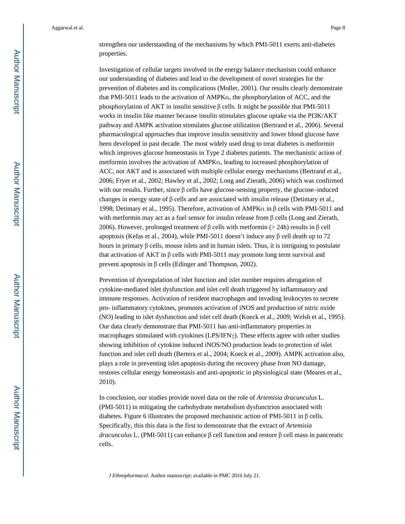strengthen our understanding of the mechanisms by which PMI-5011 exerts anti-diabetes properties.

Investigation of cellular targets involved in the energy balance mechanism could enhance our understanding of diabetes and lead to the development of novel strategies for the prevention of diabetes and its complications (Moller, 2001). Our results clearly demonstrate that PMI-5011 leads to the activation of AMPKα, the phosphorylation of ACC, and the phosphorylation of AKT in insulin sensitive β cells. It might be possible that PMI-5011 works in insulin like manner because insulin stimulates glucose uptake via the PI3K/AKT pathway and AMPK activation stimulates glucose utilization (Bertrand et al., 2006). Several pharmacological approaches that improve insulin sensitivity and lower blood glucose have been developed in past decade. The most widely used drug to treat diabetes is metformin which improves glucose homeostasis in Type 2 diabetes patients. The mechanistic action of metformin involves the activation of AMPKα, leading to increased phosphorylation of ACC, not AKT and is associated with multiple cellular energy mechanisms (Bertrand et al., 2006; Fryer et al., 2002; Hawley et al., 2002; Long and Zierath, 2006) which was confirmed with our results. Further, since  $\beta$  cells have glucose-sensing property, the glucose–induced changes in energy state of  $\beta$  cells and are associated with insulin release (Detimary et al., 1998; Detimary et al., 1995). Therefore, activation of AMPKα in β cells with PMI-5011 and with metformin may act as a fuel sensor for insulin release from β cells (Long and Zierath, 2006). However, prolonged treatment of β cells with metformin (> 24h) results in β cell apoptosis (Kefas et al., 2004), while PMI-5011 doesn't induce any β cell death up to 72 hours in primary β cells, mouse islets and in human islets. Thus, it is intriguing to postulate that activation of AKT in β cells with PMI-5011 may promote long term survival and prevent apoptosis in β cells (Edinger and Thompson, 2002).

Prevention of dysregulation of islet function and islet number requires abrogation of cytokine-mediated islet dysfunction and islet cell death triggered by inflammatory and immune responses. Activation of resident macrophages and invading leukocytes to secrete pro- inflammatory cytokines, promotes activation of iNOS and production of nitric oxide (NO) leading to islet dysfunction and islet cell death (Koeck et al., 2009; Welsh et al., 1995). Our data clearly demonstrate that PMI-5011 has anti-inflammatory properties in macrophages stimulated with cytokines (LPS/IFN $\gamma$ ). These effects agree with other studies showing inhibition of cytokine induced iNOS/NO production leads to protection of islet function and islet cell death (Bertera et al., 2004; Koeck et al., 2009). AMPK activation also, plays a role in preventing islet apoptosis during the recovery phase from NO damage, restores cellular energy homeostasis and anti-apoptotic in physiological state (Meares et al., 2010).

In conclusion, our studies provide novel data on the role of *Artemisia dracunculus* L. (PMI-5011) in mitigating the carbohydrate metabolism dysfunctrion associated with diabetes. Figure 6 illustrates the proposed mechanistic action of PMI-5011 in β cells. Specifically, this this data is the first to demonstrate that the extract of *Artemisia dracunculus* L. (PMI-5011) can enhance β cell function and restore β cell mass in pancreatic cells.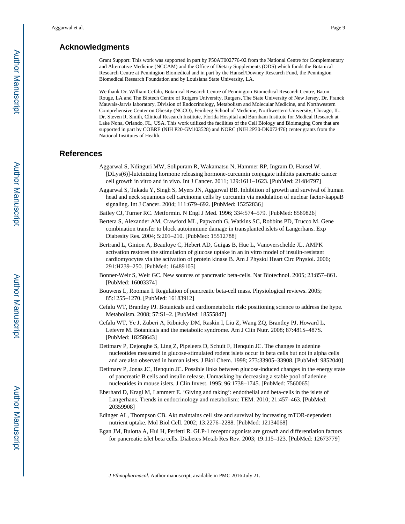## **Acknowledgments**

Grant Support: This work was supported in part by P50AT002776-02 from the National Centre for Complementary and Alternative Medicine (NCCAM) and the Office of Dietary Supplements (ODS) which funds the Botanical Research Centre at Pennington Biomedical and in part by the Hansel/Downey Research Fund, the Pennington Biomedical Research Foundation and by Louisiana State University, LA.

We thank Dr. William Cefalu, Botanical Research Centre of Pennington Biomedical Research Centre, Baton Rouge, LA and The Biotech Centre of Rutgers University, Rutgers, The State University of New Jersey, Dr. Franck Mauvais-Jarvis laboratory, Division of Endocrinology, Metabolism and Molecular Medicine, and Northwestern Comprehensive Center on Obesity (NCCO), Feinberg School of Medicine, Northwestern University, Chicago, IL. Dr. Steven R. Smith, Clinical Research Institute, Florida Hospital and Burnham Institute for Medical Research at Lake Nona, Orlando, FL, USA. This work utilized the facilities of the Cell Biology and Bioimaging Core that are supported in part by COBRE (NIH P20-GM103528) and NORC (NIH 2P30-DK072476) center grants from the National Institutes of Health.

#### **References**

- Aggarwal S, Ndinguri MW, Solipuram R, Wakamatsu N, Hammer RP, Ingram D, Hansel W. [DLys(6)]-luteinizing hormone releasing hormone-curcumin conjugate inhibits pancreatic cancer cell growth in vitro and in vivo. Int J Cancer. 2011; 129:1611–1623. [PubMed: 21484797]
- Aggarwal S, Takada Y, Singh S, Myers JN, Aggarwal BB. Inhibition of growth and survival of human head and neck squamous cell carcinoma cells by curcumin via modulation of nuclear factor-kappaB signaling. Int J Cancer. 2004; 111:679–692. [PubMed: 15252836]
- Bailey CJ, Turner RC. Metformin. N Engl J Med. 1996; 334:574–579. [PubMed: 8569826]
- Bertera S, Alexander AM, Crawford ML, Papworth G, Watkins SC, Robbins PD, Trucco M. Gene combination transfer to block autoimmune damage in transplanted islets of Langerhans. Exp Diabesity Res. 2004; 5:201–210. [PubMed: 15512788]
- Bertrand L, Ginion A, Beauloye C, Hebert AD, Guigas B, Hue L, Vanoverschelde JL. AMPK activation restores the stimulation of glucose uptake in an in vitro model of insulin-resistant cardiomyocytes via the activation of protein kinase B. Am J Physiol Heart Circ Physiol. 2006; 291:H239–250. [PubMed: 16489105]
- Bonner-Weir S, Weir GC. New sources of pancreatic beta-cells. Nat Biotechnol. 2005; 23:857–861. [PubMed: 16003374]
- Bouwens L, Rooman I. Regulation of pancreatic beta-cell mass. Physiological reviews. 2005; 85:1255–1270. [PubMed: 16183912]
- Cefalu WT, Brantley PJ. Botanicals and cardiometabolic risk: positioning science to address the hype. Metabolism. 2008; 57:S1–2. [PubMed: 18555847]
- Cefalu WT, Ye J, Zuberi A, Ribnicky DM, Raskin I, Liu Z, Wang ZQ, Brantley PJ, Howard L, Lefevre M. Botanicals and the metabolic syndrome. Am J Clin Nutr. 2008; 87:481S–487S. [PubMed: 18258643]
- Detimary P, Dejonghe S, Ling Z, Pipeleers D, Schuit F, Henquin JC. The changes in adenine nucleotides measured in glucose-stimulated rodent islets occur in beta cells but not in alpha cells and are also observed in human islets. J Biol Chem. 1998; 273:33905–33908. [PubMed: 9852040]
- Detimary P, Jonas JC, Henquin JC. Possible links between glucose-induced changes in the energy state of pancreatic B cells and insulin release. Unmasking by decreasing a stable pool of adenine nucleotides in mouse islets. J Clin Invest. 1995; 96:1738–1745. [PubMed: 7560065]
- Eberhard D, Kragl M, Lammert E. 'Giving and taking': endothelial and beta-cells in the islets of Langerhans. Trends in endocrinology and metabolism: TEM. 2010; 21:457–463. [PubMed: 20359908]
- Edinger AL, Thompson CB. Akt maintains cell size and survival by increasing mTOR-dependent nutrient uptake. Mol Biol Cell. 2002; 13:2276–2288. [PubMed: 12134068]
- Egan JM, Bulotta A, Hui H, Perfetti R. GLP-1 receptor agonists are growth and differentiation factors for pancreatic islet beta cells. Diabetes Metab Res Rev. 2003; 19:115–123. [PubMed: 12673779]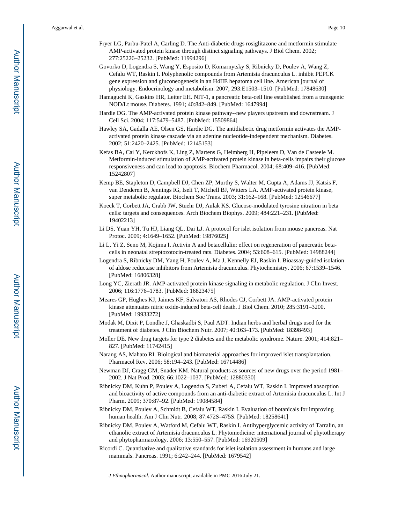- Fryer LG, Parbu-Patel A, Carling D. The Anti-diabetic drugs rosiglitazone and metformin stimulate AMP-activated protein kinase through distinct signaling pathways. J Biol Chem. 2002; 277:25226–25232. [PubMed: 11994296]
- Govorko D, Logendra S, Wang Y, Esposito D, Komarnytsky S, Ribnicky D, Poulev A, Wang Z, Cefalu WT, Raskin I. Polyphenolic compounds from Artemisia dracunculus L. inhibit PEPCK gene expression and gluconeogenesis in an H4IIE hepatoma cell line. American journal of physiology. Endocrinology and metabolism. 2007; 293:E1503–1510. [PubMed: 17848630]
- Hamaguchi K, Gaskins HR, Leiter EH. NIT-1, a pancreatic beta-cell line established from a transgenic NOD/Lt mouse. Diabetes. 1991; 40:842–849. [PubMed: 1647994]
- Hardie DG. The AMP-activated protein kinase pathway--new players upstream and downstream. J Cell Sci. 2004; 117:5479–5487. [PubMed: 15509864]
- Hawley SA, Gadalla AE, Olsen GS, Hardie DG. The antidiabetic drug metformin activates the AMPactivated protein kinase cascade via an adenine nucleotide-independent mechanism. Diabetes. 2002; 51:2420–2425. [PubMed: 12145153]
- Kefas BA, Cai Y, Kerckhofs K, Ling Z, Martens G, Heimberg H, Pipeleers D, Van de Casteele M. Metformin-induced stimulation of AMP-activated protein kinase in beta-cells impairs their glucose responsiveness and can lead to apoptosis. Biochem Pharmacol. 2004; 68:409–416. [PubMed: 15242807]
- Kemp BE, Stapleton D, Campbell DJ, Chen ZP, Murthy S, Walter M, Gupta A, Adams JJ, Katsis F, van Denderen B, Jennings IG, Iseli T, Michell BJ, Witters LA. AMP-activated protein kinase, super metabolic regulator. Biochem Soc Trans. 2003; 31:162–168. [PubMed: 12546677]
- Koeck T, Corbett JA, Crabb JW, Stuehr DJ, Aulak KS. Glucose-modulated tyrosine nitration in beta cells: targets and consequences. Arch Biochem Biophys. 2009; 484:221–231. [PubMed: 19402213]
- Li DS, Yuan YH, Tu HJ, Liang QL, Dai LJ. A protocol for islet isolation from mouse pancreas. Nat Protoc. 2009; 4:1649–1652. [PubMed: 19876025]
- Li L, Yi Z, Seno M, Kojima I. Activin A and betacellulin: effect on regeneration of pancreatic betacells in neonatal streptozotocin-treated rats. Diabetes. 2004; 53:608–615. [PubMed: 14988244]
- Logendra S, Ribnicky DM, Yang H, Poulev A, Ma J, Kennelly EJ, Raskin I. Bioassay-guided isolation of aldose reductase inhibitors from Artemisia dracunculus. Phytochemistry. 2006; 67:1539–1546. [PubMed: 16806328]
- Long YC, Zierath JR. AMP-activated protein kinase signaling in metabolic regulation. J Clin Invest. 2006; 116:1776–1783. [PubMed: 16823475]
- Meares GP, Hughes KJ, Jaimes KF, Salvatori AS, Rhodes CJ, Corbett JA. AMP-activated protein kinase attenuates nitric oxide-induced beta-cell death. J Biol Chem. 2010; 285:3191–3200. [PubMed: 19933272]
- Modak M, Dixit P, Londhe J, Ghaskadbi S, Paul ADT. Indian herbs and herbal drugs used for the treatment of diabetes. J Clin Biochem Nutr. 2007; 40:163–173. [PubMed: 18398493]
- Moller DE. New drug targets for type 2 diabetes and the metabolic syndrome. Nature. 2001; 414:821– 827. [PubMed: 11742415]
- Narang AS, Mahato RI. Biological and biomaterial approaches for improved islet transplantation. Pharmacol Rev. 2006; 58:194–243. [PubMed: 16714486]
- Newman DJ, Cragg GM, Snader KM. Natural products as sources of new drugs over the period 1981– 2002. J Nat Prod. 2003; 66:1022–1037. [PubMed: 12880330]
- Ribnicky DM, Kuhn P, Poulev A, Logendra S, Zuberi A, Cefalu WT, Raskin I. Improved absorption and bioactivity of active compounds from an anti-diabetic extract of Artemisia dracunculus L. Int J Pharm. 2009; 370:87–92. [PubMed: 19084584]
- Ribnicky DM, Poulev A, Schmidt B, Cefalu WT, Raskin I. Evaluation of botanicals for improving human health. Am J Clin Nutr. 2008; 87:472S–475S. [PubMed: 18258641]
- Ribnicky DM, Poulev A, Watford M, Cefalu WT, Raskin I. Antihyperglycemic activity of Tarralin, an ethanolic extract of Artemisia dracunculus L. Phytomedicine: international journal of phytotherapy and phytopharmacology. 2006; 13:550–557. [PubMed: 16920509]
- Ricordi C. Quantitative and qualitative standards for islet isolation assessment in humans and large mammals. Pancreas. 1991; 6:242–244. [PubMed: 1679542]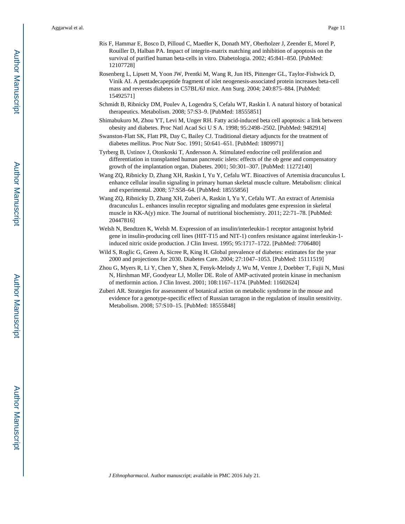- Ris F, Hammar E, Bosco D, Pilloud C, Maedler K, Donath MY, Oberholzer J, Zeender E, Morel P, Rouiller D, Halban PA. Impact of integrin-matrix matching and inhibition of apoptosis on the survival of purified human beta-cells in vitro. Diabetologia. 2002; 45:841–850. [PubMed: 12107728]
- Rosenberg L, Lipsett M, Yoon JW, Prentki M, Wang R, Jun HS, Pittenger GL, Taylor-Fishwick D, Vinik AI. A pentadecapeptide fragment of islet neogenesis-associated protein increases beta-cell mass and reverses diabetes in C57BL/6J mice. Ann Surg. 2004; 240:875–884. [PubMed: 15492571]
- Schmidt B, Ribnicky DM, Poulev A, Logendra S, Cefalu WT, Raskin I. A natural history of botanical therapeutics. Metabolism. 2008; 57:S3–9. [PubMed: 18555851]
- Shimabukuro M, Zhou YT, Levi M, Unger RH. Fatty acid-induced beta cell apoptosis: a link between obesity and diabetes. Proc Natl Acad Sci U S A. 1998; 95:2498–2502. [PubMed: 9482914]
- Swanston-Flatt SK, Flatt PR, Day C, Bailey CJ. Traditional dietary adjuncts for the treatment of diabetes mellitus. Proc Nutr Soc. 1991; 50:641–651. [PubMed: 1809971]
- Tyrberg B, Ustinov J, Otonkoski T, Andersson A. Stimulated endocrine cell proliferation and differentiation in transplanted human pancreatic islets: effects of the ob gene and compensatory growth of the implantation organ. Diabetes. 2001; 50:301–307. [PubMed: 11272140]
- Wang ZQ, Ribnicky D, Zhang XH, Raskin I, Yu Y, Cefalu WT. Bioactives of Artemisia dracunculus L enhance cellular insulin signaling in primary human skeletal muscle culture. Metabolism: clinical and experimental. 2008; 57:S58–64. [PubMed: 18555856]
- Wang ZQ, Ribnicky D, Zhang XH, Zuberi A, Raskin I, Yu Y, Cefalu WT. An extract of Artemisia dracunculus L. enhances insulin receptor signaling and modulates gene expression in skeletal muscle in KK-A(y) mice. The Journal of nutritional biochemistry. 2011; 22:71–78. [PubMed: 20447816]
- Welsh N, Bendtzen K, Welsh M. Expression of an insulin/interleukin-1 receptor antagonist hybrid gene in insulin-producing cell lines (HIT-T15 and NIT-1) confers resistance against interleukin-1 induced nitric oxide production. J Clin Invest. 1995; 95:1717–1722. [PubMed: 7706480]
- Wild S, Roglic G, Green A, Sicree R, King H. Global prevalence of diabetes: estimates for the year 2000 and projections for 2030. Diabetes Care. 2004; 27:1047–1053. [PubMed: 15111519]
- Zhou G, Myers R, Li Y, Chen Y, Shen X, Fenyk-Melody J, Wu M, Ventre J, Doebber T, Fujii N, Musi N, Hirshman MF, Goodyear LJ, Moller DE. Role of AMP-activated protein kinase in mechanism of metformin action. J Clin Invest. 2001; 108:1167–1174. [PubMed: 11602624]
- Zuberi AR. Strategies for assessment of botanical action on metabolic syndrome in the mouse and evidence for a genotype-specific effect of Russian tarragon in the regulation of insulin sensitivity. Metabolism. 2008; 57:S10–15. [PubMed: 18555848]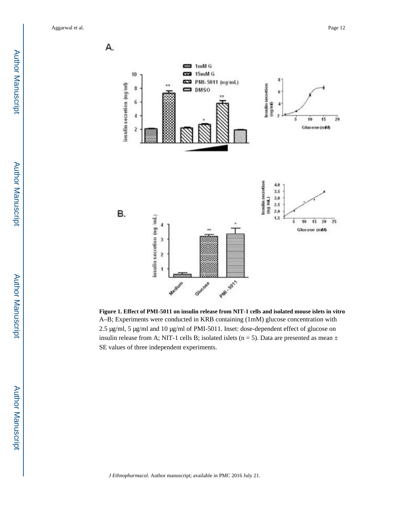**Author Manuscript** Author Manuscript

 Author ManuscriptAuthor Manuscript



**Figure 1. Effect of PMI-5011 on insulin release from NIT-1 cells and isolated mouse islets in vitro** A–B; Experiments were conducted in KRB containing (1mM) glucose concentration with 2.5 μg/ml, 5 μg/ml and 10 μg/ml of PMI-5011. Inset: dose-dependent effect of glucose on insulin release from A; NIT-1 cells B; isolated islets ( $n = 5$ ). Data are presented as mean  $\pm$ SE values of three independent experiments.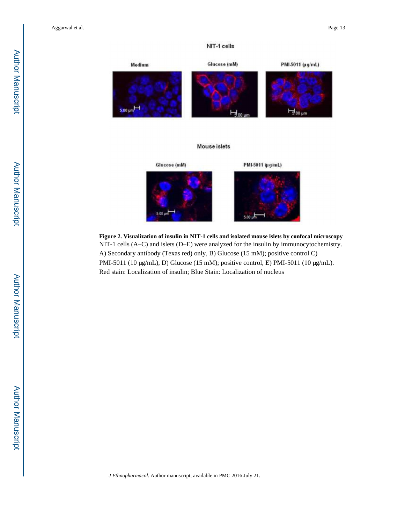## NIT-1 cells



**Figure 2. Visualization of insulin in NIT-1 cells and isolated mouse islets by confocal microscopy** NIT-1 cells (A–C) and islets (D–E) were analyzed for the insulin by immunocytochemistry. A) Secondary antibody (Texas red) only, B) Glucose (15 mM); positive control C) PMI-5011 (10 μg/mL), D) Glucose (15 mM); positive control, E) PMI-5011 (10 μg/mL). Red stain: Localization of insulin; Blue Stain: Localization of nucleus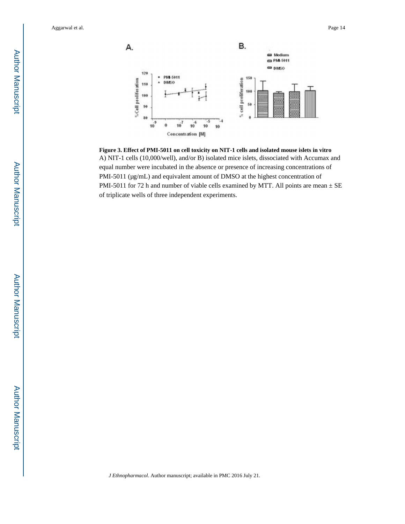

**Figure 3. Effect of PMI-5011 on cell toxicity on NIT-1 cells and isolated mouse islets in vitro** A) NIT-1 cells (10,000/well), and/or B) isolated mice islets, dissociated with Accumax and equal number were incubated in the absence or presence of increasing concentrations of PMI-5011 (μg/mL) and equivalent amount of DMSO at the highest concentration of PMI-5011 for 72 h and number of viable cells examined by MTT. All points are mean  $\pm$  SE of triplicate wells of three independent experiments.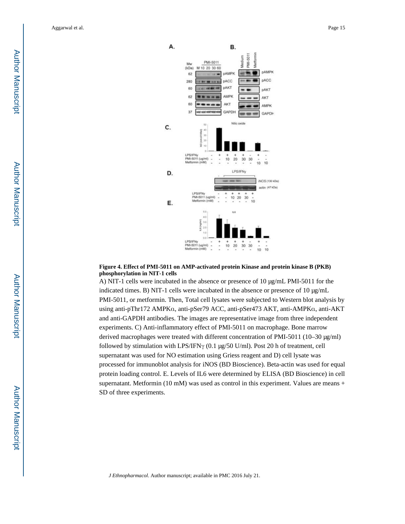

#### **Figure 4. Effect of PMI-5011 on AMP-activated protein Kinase and protein kinase B (PKB) phosphorylation in NIT-1 cells**

A) NIT-1 cells were incubated in the absence or presence of 10 μg/mL PMI-5011 for the indicated times. B) NIT-1 cells were incubated in the absence or presence of 10 μg/mL PMI-5011, or metformin. Then, Total cell lysates were subjected to Western blot analysis by using anti-pThr172 AMPKα, anti-pSer79 ACC, anti-pSer473 AKT, anti-AMPKα, anti-AKT and anti-GAPDH antibodies. The images are representative image from three independent experiments. C) Anti-inflammatory effect of PMI-5011 on macrophage. Bone marrow derived macrophages were treated with different concentration of PMI-5011 (10–30 μg/ml) followed by stimulation with LPS/IFNγ (0.1 μg/50 U/ml). Post 20 h of treatment, cell supernatant was used for NO estimation using Griess reagent and D) cell lysate was processed for immunoblot analysis for iNOS (BD Bioscience). Beta-actin was used for equal protein loading control. E. Levels of IL6 were determined by ELISA (BD Bioscience) in cell supernatant. Metformin (10 mM) was used as control in this experiment. Values are means + SD of three experiments.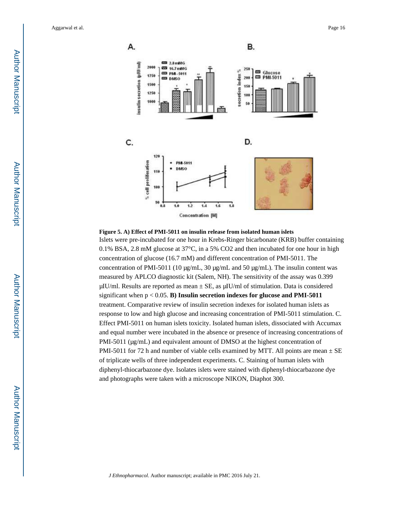

#### **Figure 5. A) Effect of PMI-5011 on insulin release from isolated human islets**

Islets were pre-incubated for one hour in Krebs-Ringer bicarbonate (KRB) buffer containing 0.1% BSA, 2.8 mM glucose at 37°C, in a 5% CO2 and then incubated for one hour in high concentration of glucose (16.7 mM) and different concentration of PMI-5011. The concentration of PMI-5011 (10  $\mu$ g/mL, 30  $\mu$ g/mL and 50  $\mu$ g/mL). The insulin content was measured by APLCO diagnostic kit (Salem, NH). The sensitivity of the assay was 0.399 μIU/ml. Results are reported as mean ± SE, as μIU/ml of stimulation. Data is considered significant when p < 0.05. **B) Insulin secretion indexes for glucose and PMI-5011**  treatment. Comparative review of insulin secretion indexes for isolated human islets as response to low and high glucose and increasing concentration of PMI-5011 stimulation. C. Effect PMI-5011 on human islets toxicity. Isolated human islets, dissociated with Accumax and equal number were incubated in the absence or presence of increasing concentrations of PMI-5011 (μg/mL) and equivalent amount of DMSO at the highest concentration of PMI-5011 for 72 h and number of viable cells examined by MTT. All points are mean  $\pm$  SE of triplicate wells of three independent experiments. C. Staining of human islets with diphenyl-thiocarbazone dye. Isolates islets were stained with diphenyl-thiocarbazone dye and photographs were taken with a microscope NIKON, Diaphot 300.